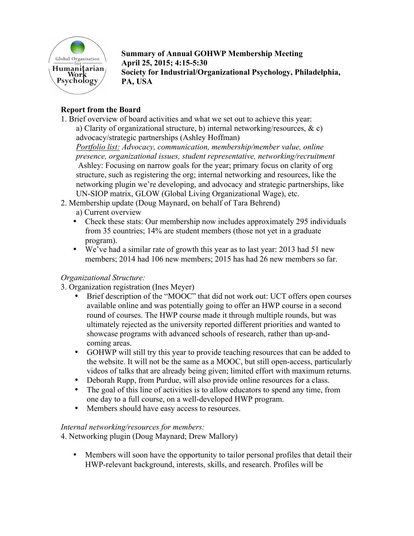

**Summary of Annual GOHWP Membership Meeting April 25, 2015; 4:15-5:30 Society for Industrial/Organizational Psychology, Philadelphia, PA, USA**

# **Report from the Board**

1. Brief overview of board activities and what we set out to achieve this year:

a) Clarity of organizational structure, b) internal networking/resources, & c) advocacy/strategic partnerships (Ashley Hoffman)

*Portfolio list: Advocacy, communication, membership/member value, online presence, organizational issues, student representative, networking/recruitment* Ashley: Focusing on narrow goals for the year; primary focus on clarity of org structure, such as registering the org; internal networking and resources, like the networking plugin we're developing, and advocacy and strategic partnerships, like UN-SIOP matrix, GLOW (Global Living Organizational Wage), etc.

- 2. Membership update (Doug Maynard, on behalf of Tara Behrend)
	- a) Current overview
	- Check these stats: Our membership now includes approximately 295 individuals from 35 countries; 14% are student members (those not yet in a graduate program).
	- We've had a similar rate of growth this year as to last year: 2013 had 51 new members; 2014 had 106 new members; 2015 has had 26 new members so far.

# *Organizational Structure:*

- 3. Organization registration (Ines Meyer)
	- Brief description of the "MOOC" that did not work out: UCT offers open courses available online and was potentially going to offer an HWP course in a second round of courses. The HWP course made it through multiple rounds, but was ultimately rejected as the university reported different priorities and wanted to showcase programs with advanced schools of research, rather than up-andcoming areas.
	- GOHWP will still try this year to provide teaching resources that can be added to the website. It will not be the same as a MOOC, but still open-access, particularly videos of talks that are already being given; limited effort with maximum returns.
	- Deborah Rupp, from Purdue, will also provide online resources for a class.<br>• The goal of this line of activities is to allow educators to spend any time from
	- The goal of this line of activities is to allow educators to spend any time, from one day to a full course, on a well-developed HWP program.
	- Members should have easy access to resources.

## *Internal networking/resources for members:*

4. Networking plugin (Doug Maynard; Drew Mallory)

• Members will soon have the opportunity to tailor personal profiles that detail their HWP-relevant background, interests, skills, and research. Profiles will be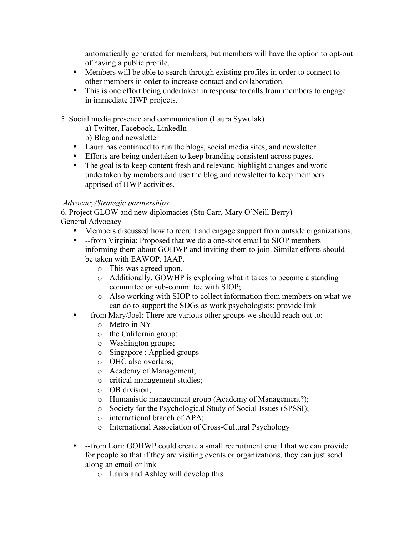automatically generated for members, but members will have the option to opt-out of having a public profile.

- Members will be able to search through existing profiles in order to connect to other members in order to increase contact and collaboration.
- This is one effort being undertaken in response to calls from members to engage in immediate HWP projects.

5. Social media presence and communication (Laura Sywulak)

a) Twitter, Facebook, LinkedIn

b) Blog and newsletter

- Laura has continued to run the blogs, social media sites, and newsletter.
- Efforts are being undertaken to keep branding consistent across pages.
- The goal is to keep content fresh and relevant; highlight changes and work undertaken by members and use the blog and newsletter to keep members apprised of HWP activities.

## *Advocacy/Strategic partnerships*

6. Project GLOW and new diplomacies (Stu Carr, Mary O'Neill Berry) General Advocacy

- Members discussed how to recruit and engage support from outside organizations.
- --from Virginia: Proposed that we do a one-shot email to SIOP members informing them about GOHWP and inviting them to join. Similar efforts should be taken with EAWOP, IAAP.
	- o This was agreed upon.
	- o Additionally, GOWHP is exploring what it takes to become a standing committee or sub-committee with SIOP;
	- o Also working with SIOP to collect information from members on what we can do to support the SDGs as work psychologists; provide link
- --from Mary/Joel: There are various other groups we should reach out to:
	- o Metro in NY
	- o the California group;
	- o Washington groups;
	- o Singapore : Applied groups
	- o OHC also overlaps;
	- o Academy of Management;
	- o critical management studies;
	- o OB division;
	- o Humanistic management group (Academy of Management?);
	- o Society for the Psychological Study of Social Issues (SPSSI);
	- o international branch of APA;
	- o International Association of Cross-Cultural Psychology
- --from Lori: GOHWP could create a small recruitment email that we can provide for people so that if they are visiting events or organizations, they can just send along an email or link
	- o Laura and Ashley will develop this.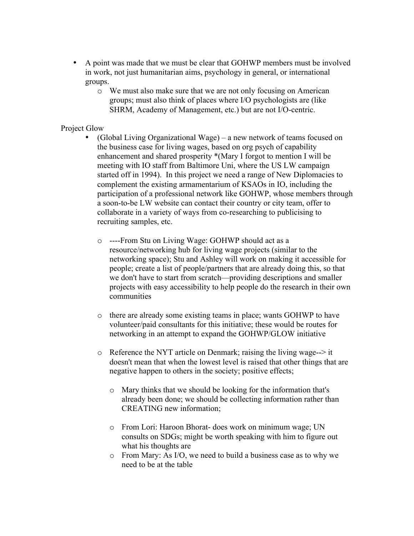- A point was made that we must be clear that GOHWP members must be involved in work, not just humanitarian aims, psychology in general, or international groups.
	- o We must also make sure that we are not only focusing on American groups; must also think of places where I/O psychologists are (like SHRM, Academy of Management, etc.) but are not I/O-centric.

#### Project Glow

- (Global Living Organizational Wage) a new network of teams focused on the business case for living wages, based on org psych of capability enhancement and shared prosperity \*(Mary I forgot to mention I will be meeting with IO staff from Baltimore Uni, where the US LW campaign started off in 1994). In this project we need a range of New Diplomacies to complement the existing armamentarium of KSAOs in IO, including the participation of a professional network like GOHWP, whose members through a soon-to-be LW website can contact their country or city team, offer to collaborate in a variety of ways from co-researching to publicising to recruiting samples, etc.
	- o ----From Stu on Living Wage: GOHWP should act as a resource/networking hub for living wage projects (similar to the networking space); Stu and Ashley will work on making it accessible for people; create a list of people/partners that are already doing this, so that we don't have to start from scratch—providing descriptions and smaller projects with easy accessibility to help people do the research in their own communities
	- o there are already some existing teams in place; wants GOHWP to have volunteer/paid consultants for this initiative; these would be routes for networking in an attempt to expand the GOHWP/GLOW initiative
	- $\circ$  Reference the NYT article on Denmark; raising the living wage- $\circ$  it doesn't mean that when the lowest level is raised that other things that are negative happen to others in the society; positive effects;
		- o Mary thinks that we should be looking for the information that's already been done; we should be collecting information rather than CREATING new information;
		- o From Lori: Haroon Bhorat- does work on minimum wage; UN consults on SDGs; might be worth speaking with him to figure out what his thoughts are
		- o From Mary: As I/O, we need to build a business case as to why we need to be at the table